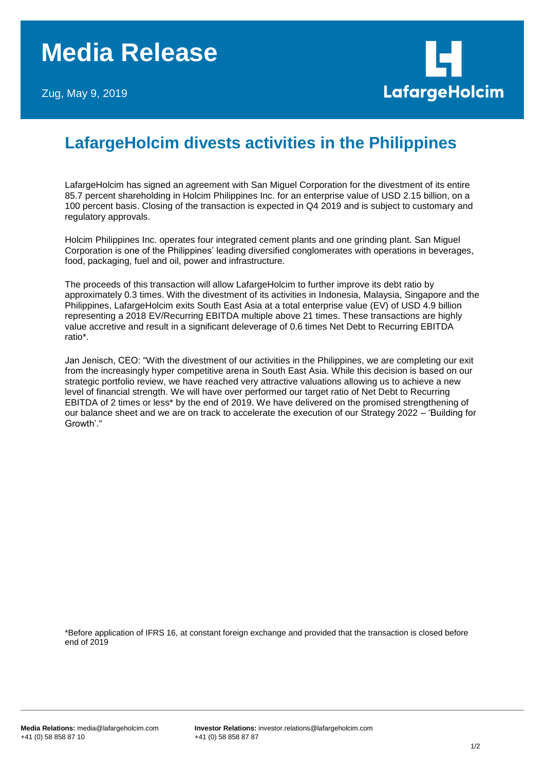## **Media Release**

Zug, May 9, 2019



## **LafargeHolcim divests activities in the Philippines**

LafargeHolcim has signed an agreement with San Miguel Corporation for the divestment of its entire 85.7 percent shareholding in Holcim Philippines Inc. for an enterprise value of USD 2.15 billion, on a 100 percent basis. Closing of the transaction is expected in Q4 2019 and is subject to customary and regulatory approvals.

Holcim Philippines Inc. operates four integrated cement plants and one grinding plant. San Miguel Corporation is one of the Philippines' leading diversified conglomerates with operations in beverages, food, packaging, fuel and oil, power and infrastructure.

The proceeds of this transaction will allow LafargeHolcim to further improve its debt ratio by approximately 0.3 times. With the divestment of its activities in Indonesia, Malaysia, Singapore and the Philippines, LafargeHolcim exits South East Asia at a total enterprise value (EV) of USD 4.9 billion representing a 2018 EV/Recurring EBITDA multiple above 21 times. These transactions are highly value accretive and result in a significant deleverage of 0.6 times Net Debt to Recurring EBITDA ratio\*.

Jan Jenisch, CEO: "With the divestment of our activities in the Philippines, we are completing our exit from the increasingly hyper competitive arena in South East Asia. While this decision is based on our strategic portfolio review, we have reached very attractive valuations allowing us to achieve a new level of financial strength. We will have over performed our target ratio of Net Debt to Recurring EBITDA of 2 times or less\* by the end of 2019. We have delivered on the promised strengthening of our balance sheet and we are on track to accelerate the execution of our Strategy 2022 – 'Building for Growth'."

\*Before application of IFRS 16, at constant foreign exchange and provided that the transaction is closed before end of 2019